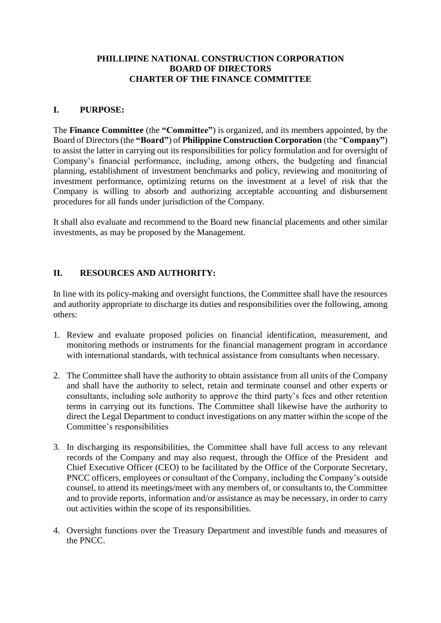### **PHILLIPINE NATIONAL CONSTRUCTION CORPORATION BOARD OF DIRECTORS CHARTER OF THE FINANCE COMMITTEE**

#### **I. PURPOSE:**

The **Finance Committee** (the **"Committee"**) is organized, and its members appointed, by the Board of Directors (the **"Board"**) of **Philippine Construction Corporation** (the "**Company"**) to assist the latter in carrying out its responsibilities for policy formulation and for oversight of Company's financial performance, including, among others, the budgeting and financial planning, establishment of investment benchmarks and policy, reviewing and monitoring of investment performance, optimizing returns on the investment at a level of risk that the Company is willing to absorb and authorizing acceptable accounting and disbursement procedures for all funds under jurisdiction of the Company.

It shall also evaluate and recommend to the Board new financial placements and other similar investments, as may be proposed by the Management.

### **II. RESOURCES AND AUTHORITY:**

In line with its policy-making and oversight functions, the Committee shall have the resources and authority appropriate to discharge its duties and responsibilities over the following, among others:

- 1. Review and evaluate proposed policies on financial identification, measurement, and monitoring methods or instruments for the financial management program in accordance with international standards, with technical assistance from consultants when necessary.
- 2. The Committee shall have the authority to obtain assistance from all units of the Company and shall have the authority to select, retain and terminate counsel and other experts or consultants, including sole authority to approve the third party's fees and other retention terms in carrying out its functions. The Committee shall likewise have the authority to direct the Legal Department to conduct investigations on any matter within the scope of the Committee's responsibilities
- 3. In discharging its responsibilities, the Committee shall have full access to any relevant records of the Company and may also request, through the Office of the President and Chief Executive Officer (CEO) to be facilitated by the Office of the Corporate Secretary, PNCC officers, employees or consultant of the Company, including the Company's outside counsel, to attend its meetings/meet with any members of, or consultants to, the Committee and to provide reports, information and/or assistance as may be necessary, in order to carry out activities within the scope of its responsibilities.
- 4. Oversight functions over the Treasury Department and investible funds and measures of the PNCC.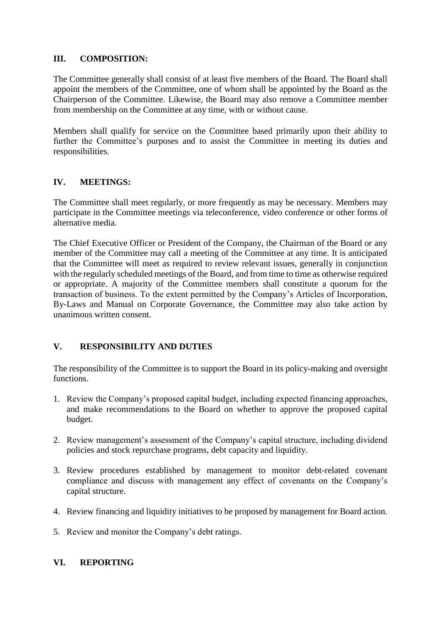### **III. COMPOSITION:**

The Committee generally shall consist of at least five members of the Board. The Board shall appoint the members of the Committee, one of whom shall be appointed by the Board as the Chairperson of the Committee. Likewise, the Board may also remove a Committee member from membership on the Committee at any time, with or without cause.

Members shall qualify for service on the Committee based primarily upon their ability to further the Committee's purposes and to assist the Committee in meeting its duties and responsibilities.

# **IV. MEETINGS:**

The Committee shall meet regularly, or more frequently as may be necessary. Members may participate in the Committee meetings via teleconference, video conference or other forms of alternative media.

The Chief Executive Officer or President of the Company, the Chairman of the Board or any member of the Committee may call a meeting of the Committee at any time. It is anticipated that the Committee will meet as required to review relevant issues, generally in conjunction with the regularly scheduled meetings of the Board, and from time to time as otherwise required or appropriate. A majority of the Committee members shall constitute a quorum for the transaction of business. To the extent permitted by the Company's Articles of Incorporation, By-Laws and Manual on Corporate Governance, the Committee may also take action by unanimous written consent.

# **V. RESPONSIBILITY AND DUTIES**

The responsibility of the Committee is to support the Board in its policy-making and oversight functions.

- 1. Review the Company's proposed capital budget, including expected financing approaches, and make recommendations to the Board on whether to approve the proposed capital budget.
- 2. Review management's assessment of the Company's capital structure, including dividend policies and stock repurchase programs, debt capacity and liquidity.
- 3. Review procedures established by management to monitor debt-related covenant compliance and discuss with management any effect of covenants on the Company's capital structure.
- 4. Review financing and liquidity initiatives to be proposed by management for Board action.
- 5. Review and monitor the Company's debt ratings.

### **VI. REPORTING**